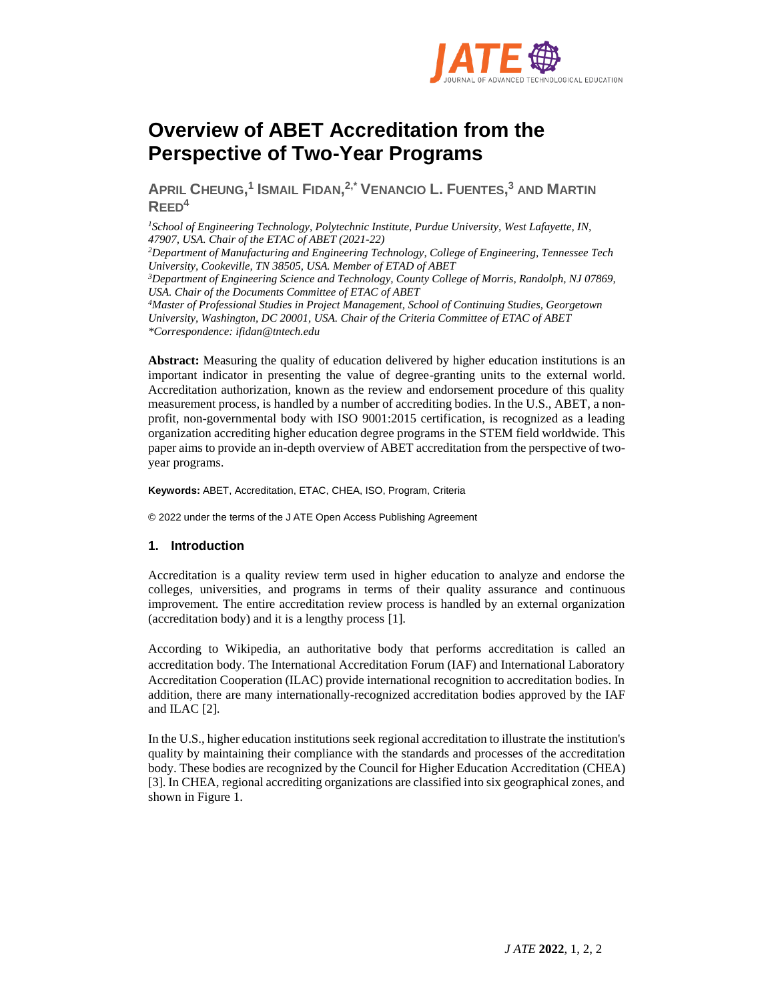

# **Overview of ABET Accreditation from the Perspective of Two-Year Programs**

**APRIL CHEUNG, 1 ISMAIL FIDAN, 2,\* VENANCIO L. FUENTES, <sup>3</sup> AND MARTIN REED<sup>4</sup>**

*<sup>1</sup>School of Engineering Technology, Polytechnic Institute, Purdue University, West Lafayette, IN, 47907, USA. Chair of the ETAC of ABET (2021-22) <sup>2</sup>Department of Manufacturing and Engineering Technology, College of Engineering, Tennessee Tech University, Cookeville, TN 38505, USA. Member of ETAD of ABET <sup>3</sup>Department of Engineering Science and Technology, County College of Morris, Randolph, NJ 07869, USA. Chair of the Documents Committee of ETAC of ABET <sup>4</sup>Master of Professional Studies in Project Management, School of Continuing Studies, Georgetown University, Washington, DC 20001, USA. Chair of the Criteria Committee of ETAC of ABET \*Correspondence: ifidan@tntech.edu*

**Abstract:** Measuring the quality of education delivered by higher education institutions is an important indicator in presenting the value of degree-granting units to the external world. Accreditation authorization, known as the review and endorsement procedure of this quality measurement process, is handled by a number of accrediting bodies. In the U.S., ABET, a nonprofit, non-governmental body with ISO 9001:2015 certification, is recognized as a leading organization accrediting higher education degree programs in the STEM field worldwide. This paper aims to provide an in-depth overview of ABET accreditation from the perspective of twoyear programs.

**Keywords:** ABET, Accreditation, ETAC, CHEA, ISO, Program, Criteria

© 2022 under the terms of the J ATE Open Access Publishing Agreement

# **1. Introduction**

Accreditation is a quality review term used in higher education to analyze and endorse the colleges, universities, and programs in terms of their quality assurance and continuous improvement. The entire accreditation review process is handled by an external organization (accreditation body) and it is a lengthy process [1].

According to Wikipedia, an authoritative body that performs accreditation is called an accreditation body. The International Accreditation Forum (IAF) and International Laboratory Accreditation Cooperation (ILAC) provide international recognition to accreditation bodies. In addition, there are many internationally-recognized accreditation bodies approved by the IAF and ILAC [2].

In the U.S., higher education institutions seek regional accreditation to illustrate the institution's quality by maintaining their compliance with the standards and processes of the accreditation body. These bodies are recognized by the Council for Higher Education Accreditation (CHEA) [3]. In CHEA, regional accrediting organizations are classified into six geographical zones, and shown in Figure 1.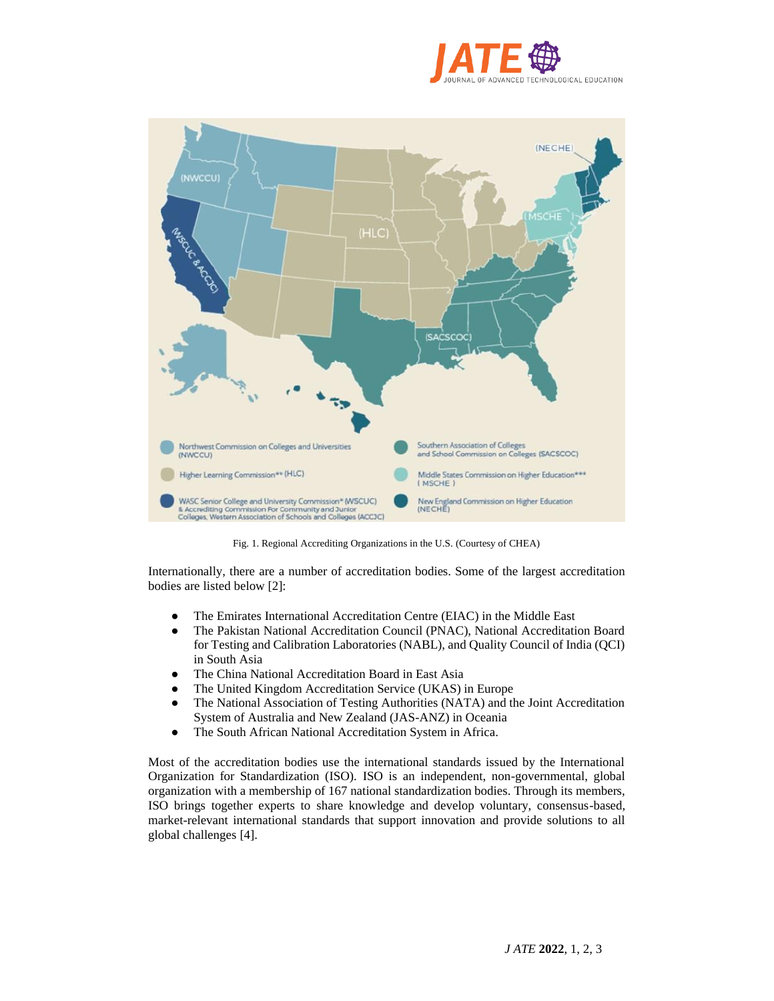



Fig. 1. Regional Accrediting Organizations in the U.S. (Courtesy of CHEA)

Internationally, there are a number of accreditation bodies. Some of the largest accreditation bodies are listed below [2]:

- The Emirates International Accreditation Centre (EIAC) in the Middle East
- The Pakistan National Accreditation Council (PNAC), National Accreditation Board for Testing and Calibration Laboratories (NABL), and Quality Council of India (QCI) in South Asia
- The China National Accreditation Board in East Asia
- The United Kingdom Accreditation Service (UKAS) in Europe
- The National Association of Testing Authorities (NATA) and the Joint Accreditation System of Australia and New Zealand (JAS-ANZ) in Oceania
- The South African National Accreditation System in Africa.

Most of the accreditation bodies use the international standards issued by the International Organization for Standardization (ISO). ISO is an independent, non-governmental, global organization with a membership of 167 national standardization bodies. Through its members, ISO brings together experts to share knowledge and develop voluntary, consensus-based, market-relevant international standards that support innovation and provide solutions to all global challenges [4].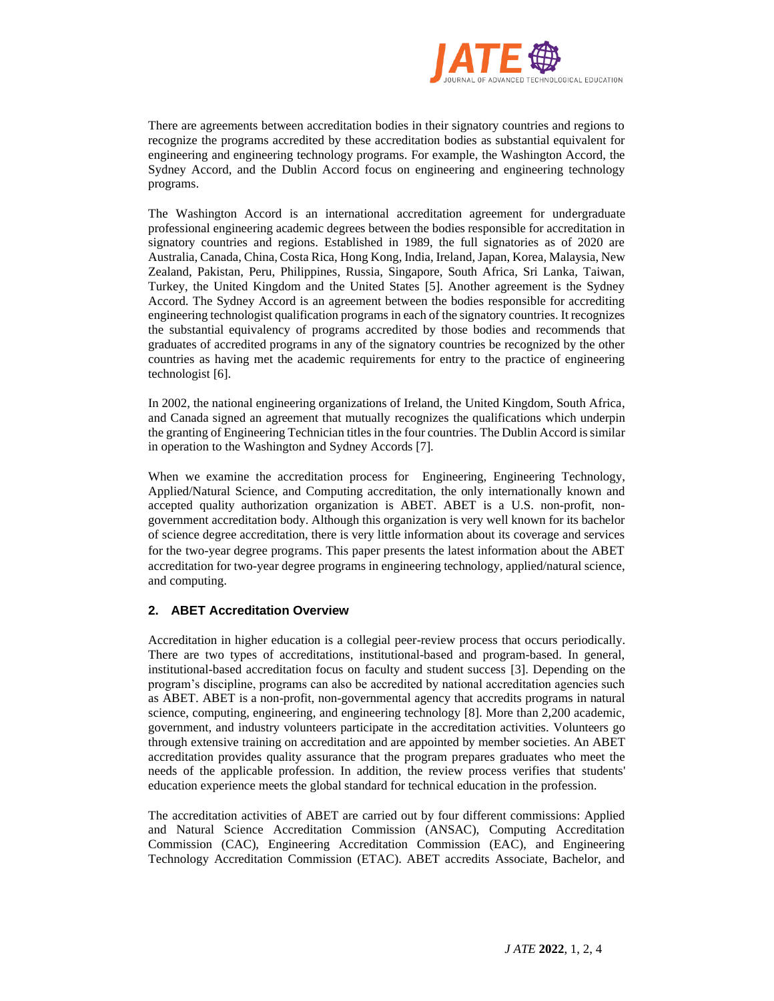

There are agreements between accreditation bodies in their signatory countries and regions to recognize the programs accredited by these accreditation bodies as substantial equivalent for engineering and engineering technology programs. For example, the Washington Accord, the Sydney Accord, and the Dublin Accord focus on engineering and engineering technology programs.

The Washington Accord is an international accreditation agreement for undergraduate professional engineering academic degrees between the bodies responsible for accreditation in signatory countries and regions. Established in 1989, the full signatories as of 2020 are Australia, Canada, China, Costa Rica, Hong Kong, India, Ireland, Japan, Korea, Malaysia, New Zealand, Pakistan, Peru, Philippines, Russia, Singapore, South Africa, Sri Lanka, Taiwan, Turkey, the United Kingdom and the United States [5]. Another agreement is the Sydney Accord. The Sydney Accord is an agreement between the bodies responsible for accrediting engineering technologist qualification programs in each of the signatory countries. It recognizes the substantial equivalency of programs accredited by those bodies and recommends that graduates of accredited programs in any of the signatory countries be recognized by the other countries as having met the academic requirements for entry to the practice of engineering technologist [6].

In 2002, the national engineering organizations of Ireland, the United Kingdom, South Africa, and Canada signed an agreement that mutually recognizes the qualifications which underpin the granting of Engineering Technician titles in the four countries. The Dublin Accord is similar in operation to the Washington and Sydney Accords [7].

When we examine the accreditation process for Engineering, Engineering Technology, Applied/Natural Science, and Computing accreditation, the only internationally known and accepted quality authorization organization is ABET. ABET is a U.S. non-profit, nongovernment accreditation body. Although this organization is very well known for its bachelor of science degree accreditation, there is very little information about its coverage and services for the two-year degree programs. This paper presents the latest information about the ABET accreditation for two-year degree programs in engineering technology, applied/natural science, and computing.

# **2. ABET Accreditation Overview**

Accreditation in higher education is a collegial peer-review process that occurs periodically. There are two types of accreditations, institutional-based and program-based. In general, institutional-based accreditation focus on faculty and student success [3]. Depending on the program's discipline, programs can also be accredited by national accreditation agencies such as ABET. ABET is a non-profit, non-governmental agency that accredits programs in natural science, computing, engineering, and engineering technology [8]. More than 2,200 academic, government, and industry volunteers participate in the accreditation activities. Volunteers go through extensive training on accreditation and are appointed by member societies. An ABET accreditation provides quality assurance that the program prepares graduates who meet the needs of the applicable profession. In addition, the review process verifies that students' education experience meets the global standard for technical education in the profession.

The accreditation activities of ABET are carried out by four different commissions: Applied and Natural Science Accreditation Commission (ANSAC), Computing Accreditation Commission (CAC), Engineering Accreditation Commission (EAC), and Engineering Technology Accreditation Commission (ETAC). ABET accredits Associate, Bachelor, and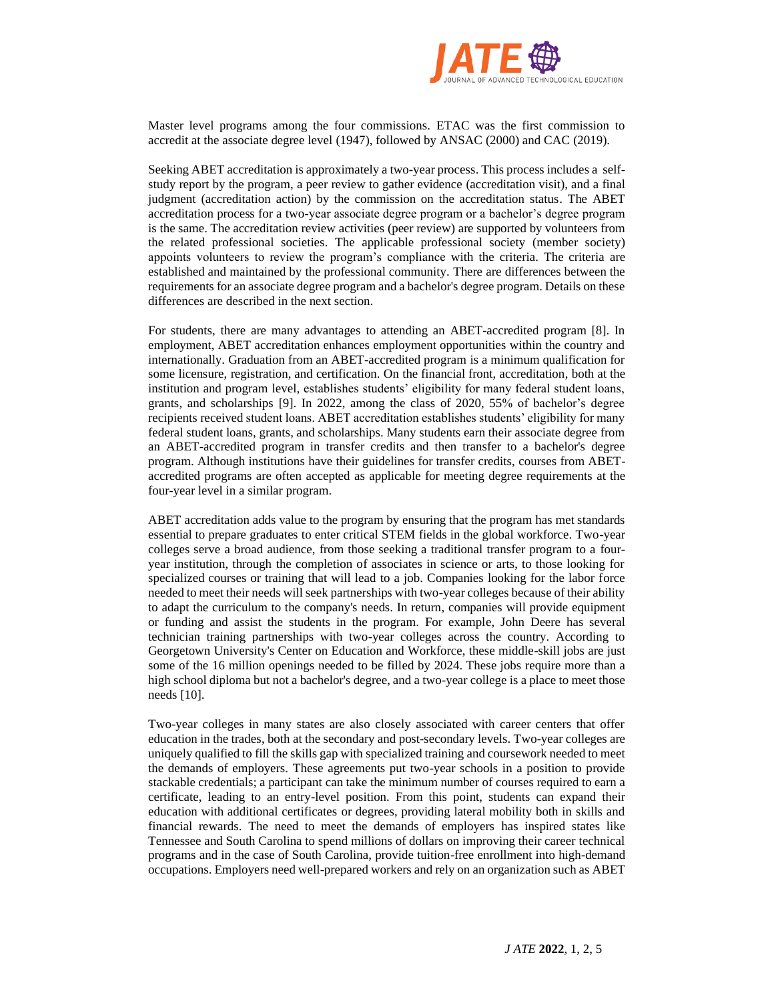

Master level programs among the four commissions. ETAC was the first commission to accredit at the associate degree level (1947), followed by ANSAC (2000) and CAC (2019).

Seeking ABET accreditation is approximately a two-year process. This process includes a selfstudy report by the program, a peer review to gather evidence (accreditation visit), and a final judgment (accreditation action) by the commission on the accreditation status. The ABET accreditation process for a two-year associate degree program or a bachelor's degree program is the same. The accreditation review activities (peer review) are supported by volunteers from the related professional societies. The applicable professional society (member society) appoints volunteers to review the program's compliance with the criteria. The criteria are established and maintained by the professional community. There are differences between the requirements for an associate degree program and a bachelor's degree program. Details on these differences are described in the next section.

For students, there are many advantages to attending an ABET-accredited program [8]. In employment, ABET accreditation enhances employment opportunities within the country and internationally. Graduation from an ABET-accredited program is a minimum qualification for some licensure, registration, and certification. On the financial front, accreditation, both at the institution and program level, establishes students' eligibility for many federal student loans, grants, and scholarships [9]. In 2022, among the class of 2020, 55% of bachelor's degree recipients received student loans. ABET accreditation establishes students' eligibility for many federal student loans, grants, and scholarships. Many students earn their associate degree from an ABET-accredited program in transfer credits and then transfer to a bachelor's degree program. Although institutions have their guidelines for transfer credits, courses from ABETaccredited programs are often accepted as applicable for meeting degree requirements at the four-year level in a similar program.

ABET accreditation adds value to the program by ensuring that the program has met standards essential to prepare graduates to enter critical STEM fields in the global workforce. Two-year colleges serve a broad audience, from those seeking a traditional transfer program to a fouryear institution, through the completion of associates in science or arts, to those looking for specialized courses or training that will lead to a job. Companies looking for the labor force needed to meet their needs will seek partnerships with two-year colleges because of their ability to adapt the curriculum to the company's needs. In return, companies will provide equipment or funding and assist the students in the program. For example, John Deere has several technician training partnerships with two-year colleges across the country. According to Georgetown University's Center on Education and Workforce, these middle-skill jobs are just some of the 16 million openings needed to be filled by 2024. These jobs require more than a high school diploma but not a bachelor's degree, and a two-year college is a place to meet those needs [10].

Two-year colleges in many states are also closely associated with career centers that offer education in the trades, both at the secondary and post-secondary levels. Two-year colleges are uniquely qualified to fill the skills gap with specialized training and coursework needed to meet the demands of employers. These agreements put two-year schools in a position to provide stackable credentials; a participant can take the minimum number of courses required to earn a certificate, leading to an entry-level position. From this point, students can expand their education with additional certificates or degrees, providing lateral mobility both in skills and financial rewards. The need to meet the demands of employers has inspired states like Tennessee and South Carolina to spend millions of dollars on improving their career technical programs and in the case of South Carolina, provide tuition-free enrollment into high-demand occupations. Employers need well-prepared workers and rely on an organization such as ABET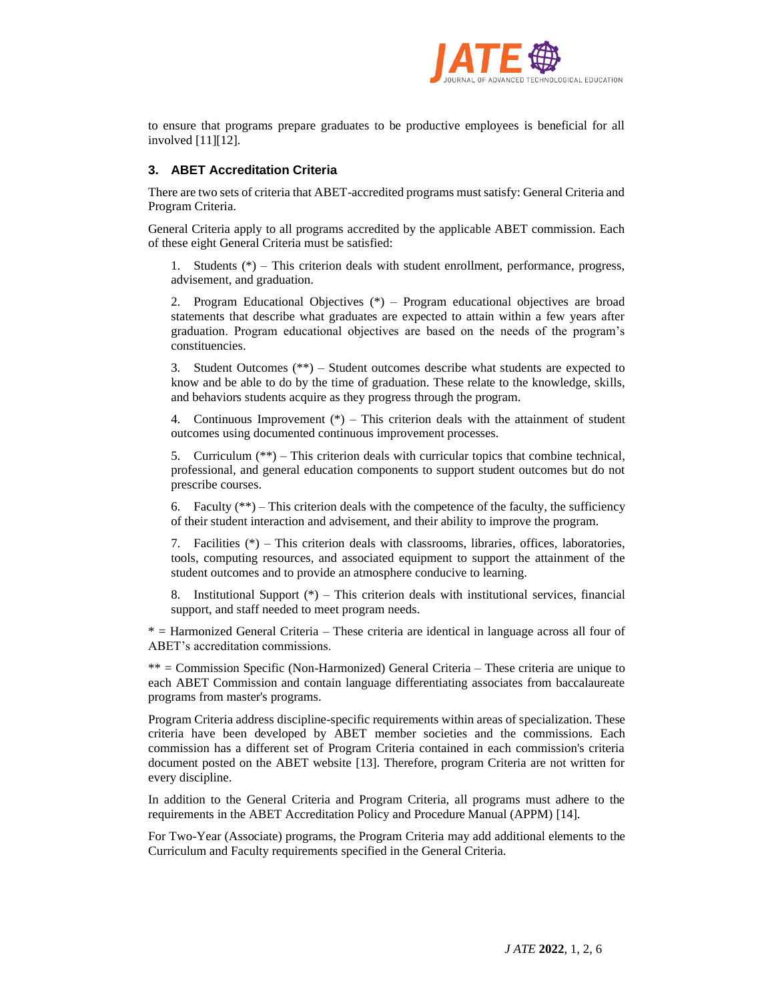

to ensure that programs prepare graduates to be productive employees is beneficial for all involved [11][12].

# **3. ABET Accreditation Criteria**

There are two sets of criteria that ABET-accredited programs must satisfy: General Criteria and Program Criteria.

General Criteria apply to all programs accredited by the applicable ABET commission. Each of these eight General Criteria must be satisfied:

1. Students (\*) – This criterion deals with student enrollment, performance, progress, advisement, and graduation.

2. Program Educational Objectives (\*) – Program educational objectives are broad statements that describe what graduates are expected to attain within a few years after graduation. Program educational objectives are based on the needs of the program's constituencies.

3. Student Outcomes (\*\*) – Student outcomes describe what students are expected to know and be able to do by the time of graduation. These relate to the knowledge, skills, and behaviors students acquire as they progress through the program.

4. Continuous Improvement  $(*)$  – This criterion deals with the attainment of student outcomes using documented continuous improvement processes.

5. Curriculum (\*\*) – This criterion deals with curricular topics that combine technical, professional, and general education components to support student outcomes but do not prescribe courses.

6. Faculty  $(**)$  – This criterion deals with the competence of the faculty, the sufficiency of their student interaction and advisement, and their ability to improve the program.

7. Facilities (\*) – This criterion deals with classrooms, libraries, offices, laboratories, tools, computing resources, and associated equipment to support the attainment of the student outcomes and to provide an atmosphere conducive to learning.

8. Institutional Support (\*) – This criterion deals with institutional services, financial support, and staff needed to meet program needs.

\* = Harmonized General Criteria – These criteria are identical in language across all four of ABET's accreditation commissions.

\*\* = Commission Specific (Non-Harmonized) General Criteria – These criteria are unique to each ABET Commission and contain language differentiating associates from baccalaureate programs from master's programs.

Program Criteria address discipline-specific requirements within areas of specialization. These criteria have been developed by ABET member societies and the commissions. Each commission has a different set of Program Criteria contained in each commission's criteria document posted on the ABET website [13]. Therefore, program Criteria are not written for every discipline.

In addition to the General Criteria and Program Criteria, all programs must adhere to the requirements in the ABET Accreditation Policy and Procedure Manual (APPM) [14].

For Two-Year (Associate) programs, the Program Criteria may add additional elements to the Curriculum and Faculty requirements specified in the General Criteria.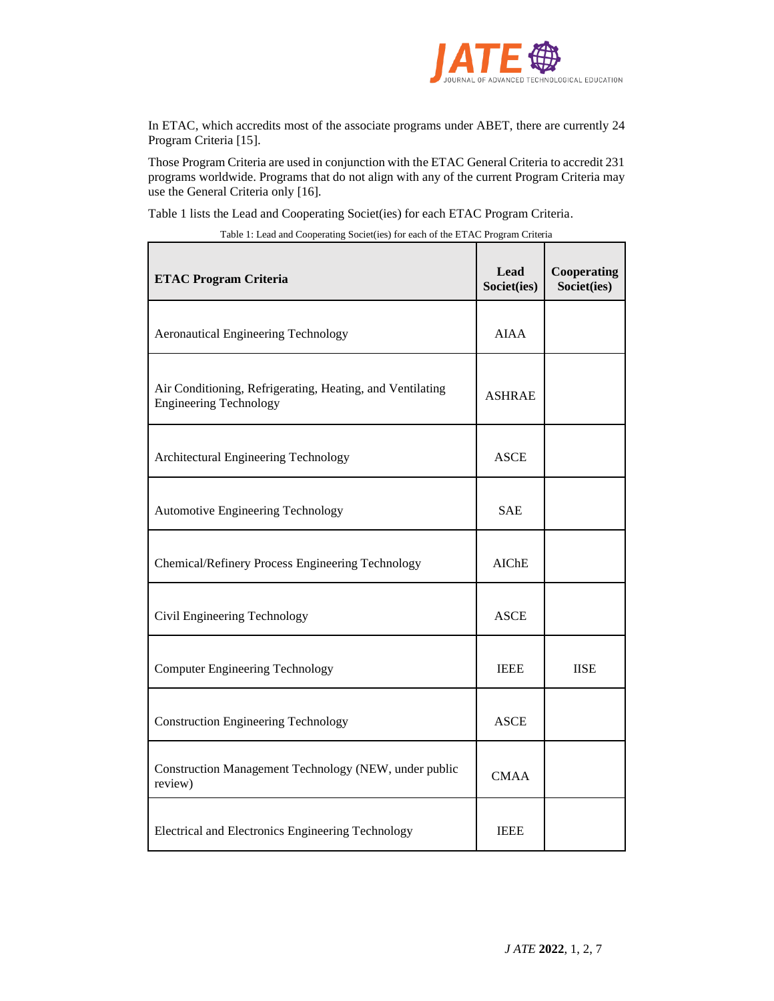

In ETAC, which accredits most of the associate programs under ABET, there are currently 24 Program Criteria [\[](https://www.abet.org/accreditation/accreditation-criteria/criteria-for-accrediting-engineering-technology-programs-2022-2023/)15].

Those Program Criteria are used in conjunction with the ETAC General Criteria to accredit 231 programs worldwide. Programs that do not align with any of the current Program Criteria may use the General Criteria only [16].

Table 1 lists the Lead and Cooperating Societ(ies) for each ETAC Program Criteria.

| <b>ETAC Program Criteria</b>                                                               | Lead<br>Societ(ies) | <b>Cooperating</b><br>Societ(ies) |
|--------------------------------------------------------------------------------------------|---------------------|-----------------------------------|
| <b>Aeronautical Engineering Technology</b>                                                 | <b>AIAA</b>         |                                   |
| Air Conditioning, Refrigerating, Heating, and Ventilating<br><b>Engineering Technology</b> | <b>ASHRAE</b>       |                                   |
| Architectural Engineering Technology                                                       | <b>ASCE</b>         |                                   |
| Automotive Engineering Technology                                                          | <b>SAE</b>          |                                   |
| Chemical/Refinery Process Engineering Technology                                           | <b>AIChE</b>        |                                   |
| Civil Engineering Technology                                                               | <b>ASCE</b>         |                                   |
| <b>Computer Engineering Technology</b>                                                     | <b>IEEE</b>         | <b>IISE</b>                       |
| <b>Construction Engineering Technology</b>                                                 | <b>ASCE</b>         |                                   |
| Construction Management Technology (NEW, under public<br>review)                           | <b>CMAA</b>         |                                   |
| Electrical and Electronics Engineering Technology                                          | <b>IEEE</b>         |                                   |

Table 1: Lead and Cooperating Societ(ies) for each of the ETAC Program Criteria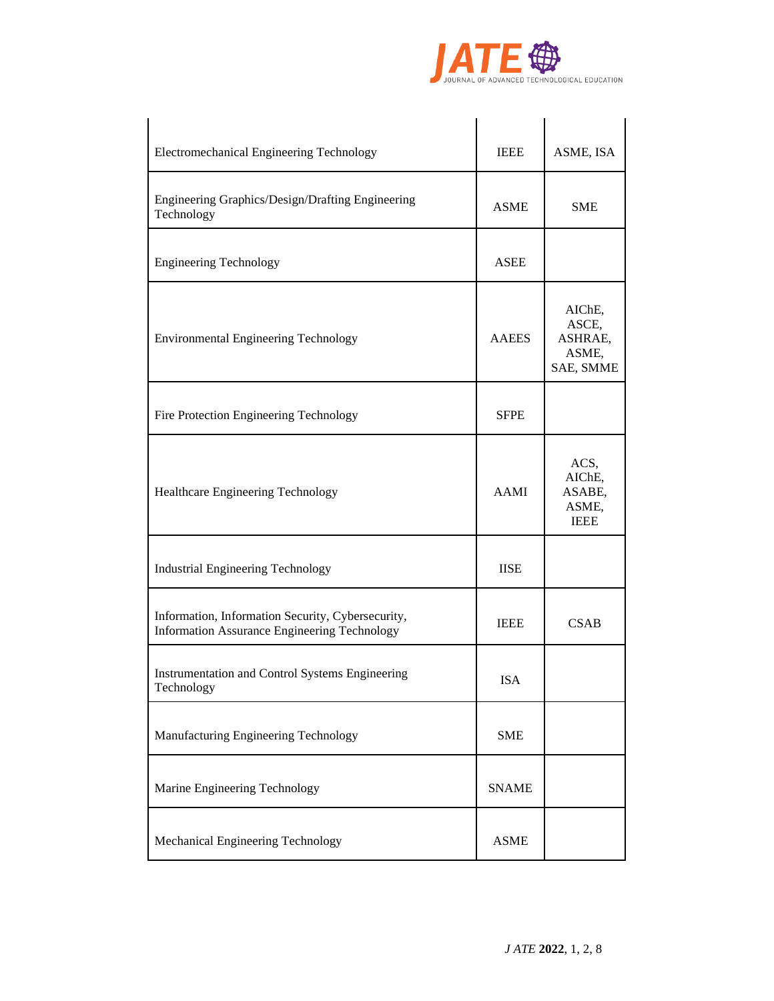

| Electromechanical Engineering Technology                                                          | <b>IEEE</b>  | ASME, ISA                                        |
|---------------------------------------------------------------------------------------------------|--------------|--------------------------------------------------|
| Engineering Graphics/Design/Drafting Engineering<br>Technology                                    | ASME         | <b>SME</b>                                       |
| <b>Engineering Technology</b>                                                                     | ASEE         |                                                  |
| <b>Environmental Engineering Technology</b>                                                       | <b>AAEES</b> | AIChE,<br>ASCE,<br>ASHRAE,<br>ASME,<br>SAE, SMME |
| Fire Protection Engineering Technology                                                            | <b>SFPE</b>  |                                                  |
| Healthcare Engineering Technology                                                                 | AAMI         | ACS,<br>AIChE,<br>ASABE,<br>ASME,<br><b>IEEE</b> |
| <b>Industrial Engineering Technology</b>                                                          | <b>IISE</b>  |                                                  |
| Information, Information Security, Cybersecurity,<br>Information Assurance Engineering Technology | <b>IEEE</b>  | <b>CSAB</b>                                      |
| Instrumentation and Control Systems Engineering<br>Technology                                     | <b>ISA</b>   |                                                  |
| Manufacturing Engineering Technology                                                              | <b>SME</b>   |                                                  |
| Marine Engineering Technology                                                                     | <b>SNAME</b> |                                                  |
| Mechanical Engineering Technology                                                                 | <b>ASME</b>  |                                                  |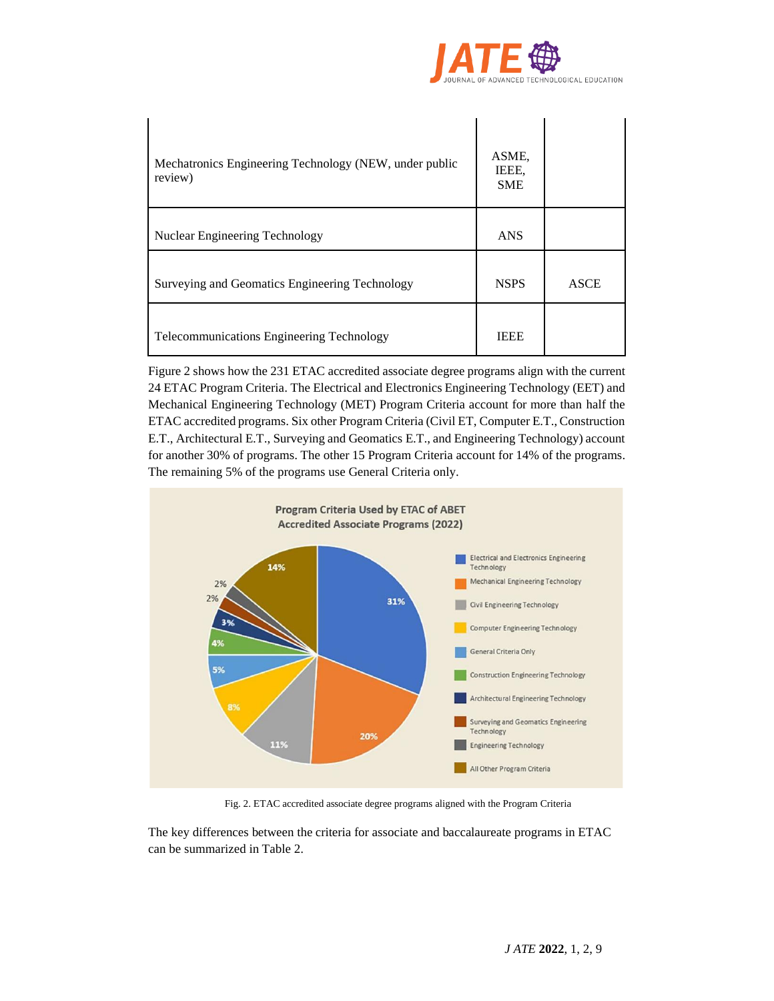

| Mechatronics Engineering Technology (NEW, under public<br>review) | ASME,<br>IEEE,<br><b>SME</b> |             |
|-------------------------------------------------------------------|------------------------------|-------------|
| Nuclear Engineering Technology                                    | <b>ANS</b>                   |             |
| Surveying and Geomatics Engineering Technology                    | <b>NSPS</b>                  | <b>ASCE</b> |
| <b>Telecommunications Engineering Technology</b>                  | <b>IEEE</b>                  |             |

Figure 2 shows how the 231 ETAC accredited associate degree programs align with the current 24 ETAC Program Criteria. The Electrical and Electronics Engineering Technology (EET) and Mechanical Engineering Technology (MET) Program Criteria account for more than half the ETAC accredited programs. Six other Program Criteria (Civil ET, Computer E.T., Construction E.T., Architectural E.T., Surveying and Geomatics E.T., and Engineering Technology) account for another 30% of programs. The other 15 Program Criteria account for 14% of the programs. The remaining 5% of the programs use General Criteria only.



Fig. 2. ETAC accredited associate degree programs aligned with the Program Criteria

The key differences between the criteria for associate and baccalaureate programs in ETAC can be summarized in Table 2.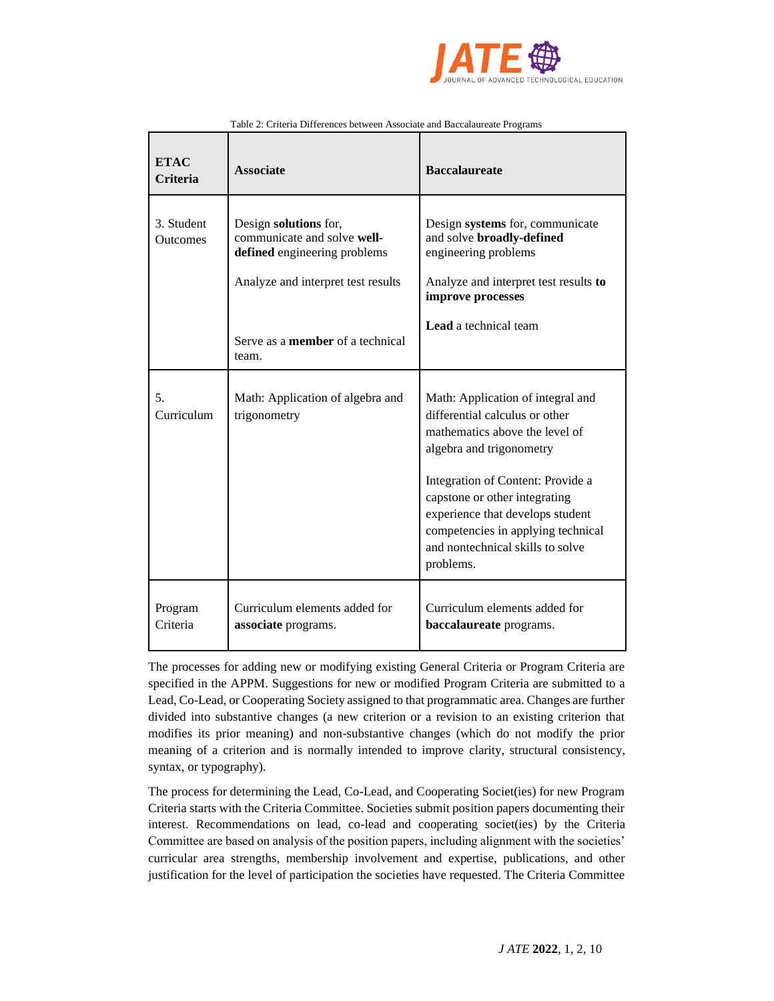

| <b>ETAC</b><br><b>Criteria</b> | <b>Associate</b>                                                                                                           | <b>Baccalaureate</b>                                                                                                                                                                                                                                                                                                               |
|--------------------------------|----------------------------------------------------------------------------------------------------------------------------|------------------------------------------------------------------------------------------------------------------------------------------------------------------------------------------------------------------------------------------------------------------------------------------------------------------------------------|
| 3. Student<br>Outcomes         | Design solutions for,<br>communicate and solve well-<br>defined engineering problems<br>Analyze and interpret test results | Design systems for, communicate<br>and solve broadly-defined<br>engineering problems<br>Analyze and interpret test results to<br>improve processes                                                                                                                                                                                 |
|                                | Serve as a <b>member</b> of a technical<br>team.                                                                           | <b>Lead</b> a technical team                                                                                                                                                                                                                                                                                                       |
| 5.<br>Curriculum               | Math: Application of algebra and<br>trigonometry                                                                           | Math: Application of integral and<br>differential calculus or other<br>mathematics above the level of<br>algebra and trigonometry<br>Integration of Content: Provide a<br>capstone or other integrating<br>experience that develops student<br>competencies in applying technical<br>and nontechnical skills to solve<br>problems. |
| Program<br>Criteria            | Curriculum elements added for<br>associate programs.                                                                       | Curriculum elements added for<br>baccalaureate programs.                                                                                                                                                                                                                                                                           |

#### Table 2: Criteria Differences between Associate and Baccalaureate Programs

The processes for adding new or modifying existing General Criteria or Program Criteria are specified in the APPM. Suggestions for new or modified Program Criteria are submitted to a Lead, Co-Lead, or Cooperating Society assigned to that programmatic area. Changes are further divided into substantive changes (a new criterion or a revision to an existing criterion that modifies its prior meaning) and non-substantive changes (which do not modify the prior meaning of a criterion and is normally intended to improve clarity, structural consistency, syntax, or typography).

The process for determining the Lead, Co-Lead, and Cooperating Societ(ies) for new Program Criteria starts with the Criteria Committee. Societies submit position papers documenting their interest. Recommendations on lead, co-lead and cooperating societ(ies) by the Criteria Committee are based on analysis of the position papers, including alignment with the societies' curricular area strengths, membership involvement and expertise, publications, and other justification for the level of participation the societies have requested. The Criteria Committee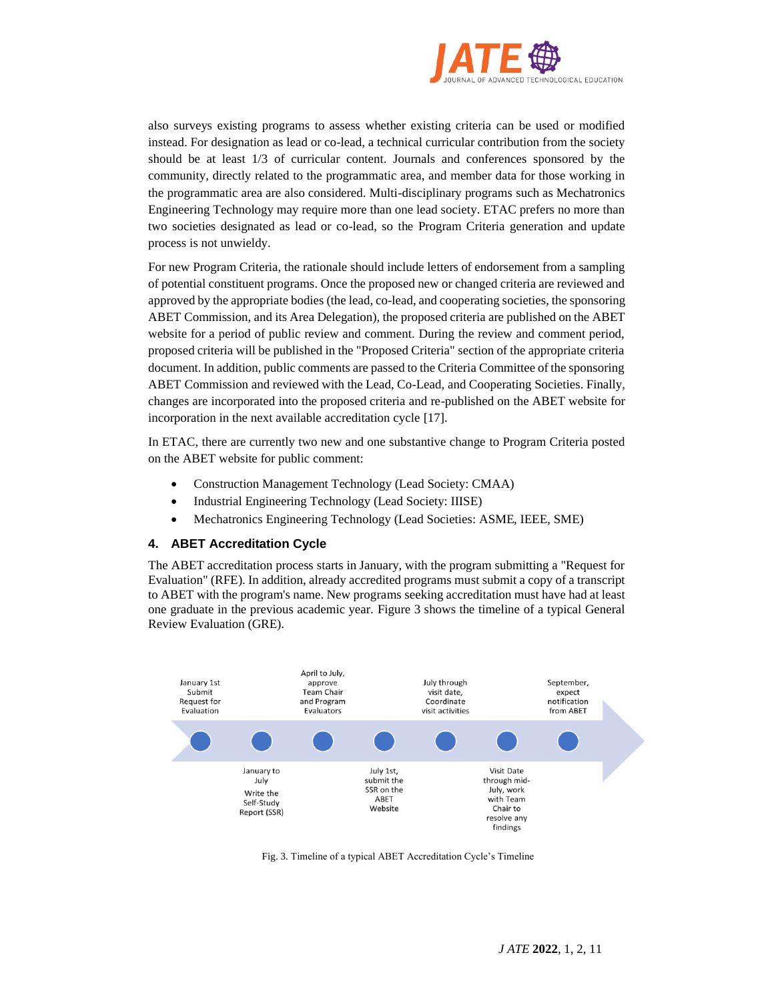

also surveys existing programs to assess whether existing criteria can be used or modified instead. For designation as lead or co-lead, a technical curricular contribution from the society should be at least 1/3 of curricular content. Journals and conferences sponsored by the community, directly related to the programmatic area, and member data for those working in the programmatic area are also considered. Multi-disciplinary programs such as Mechatronics Engineering Technology may require more than one lead society. ETAC prefers no more than two societies designated as lead or co-lead, so the Program Criteria generation and update process is not unwieldy.

For new Program Criteria, the rationale should include letters of endorsement from a sampling of potential constituent programs. Once the proposed new or changed criteria are reviewed and approved by the appropriate bodies (the lead, co-lead, and cooperating societies, the sponsoring ABET Commission, and its Area Delegation), the proposed criteria are published on the ABET website for a period of public review and comment. During the review and comment period, proposed criteria will be published in the "Proposed Criteria" section of the appropriate criteria document. In addition, public comments are passed to the Criteria Committee of the sponsoring ABET Commission and reviewed with the Lead, Co-Lead, and Cooperating Societies. Finally, changes are incorporated into the proposed criteria and re-published on the ABET website for incorporation in the next available accreditation cycle [17].

In ETAC, there are currently two new and one substantive change to Program Criteria posted on the ABET website for public comment:

- Construction Management Technology (Lead Society: CMAA)
- Industrial Engineering Technology (Lead Society: IIISE)
- Mechatronics Engineering Technology (Lead Societies: ASME, IEEE, SME)

#### **4. ABET Accreditation Cycle**

The ABET accreditation process starts in January, with the program submitting a "Request for Evaluation" (RFE). In addition, already accredited programs must submit a copy of a transcript to ABET with the program's name. New programs seeking accreditation must have had at least one graduate in the previous academic year. Figure 3 shows the timeline of a typical General Review Evaluation (GRE).



Fig. 3. Timeline of a typical ABET Accreditation Cycle's Timeline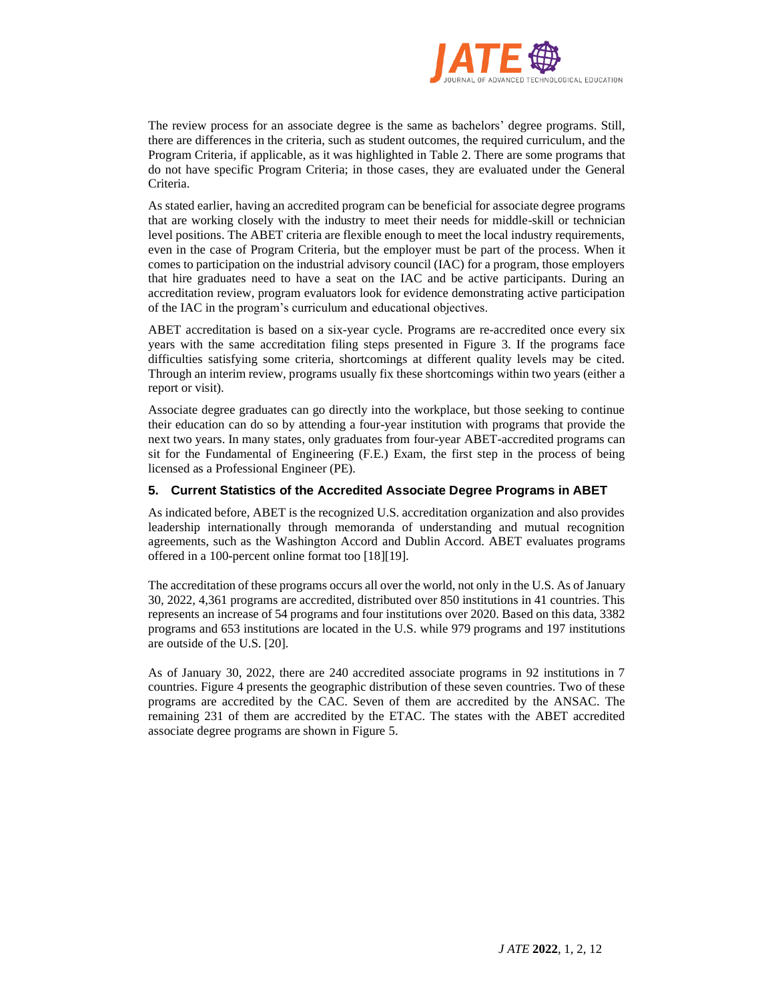

The review process for an associate degree is the same as bachelors' degree programs. Still, there are differences in the criteria, such as student outcomes, the required curriculum, and the Program Criteria, if applicable, as it was highlighted in Table 2. There are some programs that do not have specific Program Criteria; in those cases, they are evaluated under the General Criteria.

As stated earlier, having an accredited program can be beneficial for associate degree programs that are working closely with the industry to meet their needs for middle-skill or technician level positions. The ABET criteria are flexible enough to meet the local industry requirements, even in the case of Program Criteria, but the employer must be part of the process. When it comes to participation on the industrial advisory council (IAC) for a program, those employers that hire graduates need to have a seat on the IAC and be active participants. During an accreditation review, program evaluators look for evidence demonstrating active participation of the IAC in the program's curriculum and educational objectives.

ABET accreditation is based on a six-year cycle. Programs are re-accredited once every six years with the same accreditation filing steps presented in Figure 3. If the programs face difficulties satisfying some criteria, shortcomings at different quality levels may be cited. Through an interim review, programs usually fix these shortcomings within two years (either a report or visit).

Associate degree graduates can go directly into the workplace, but those seeking to continue their education can do so by attending a four-year institution with programs that provide the next two years. In many states, only graduates from four-year ABET-accredited programs can sit for the Fundamental of Engineering (F.E.) Exam, the first step in the process of being licensed as a Professional Engineer (PE).

# **5. Current Statistics of the Accredited Associate Degree Programs in ABET**

As indicated before, ABET is the recognized U.S. accreditation organization and also provides leadership internationally through memoranda of understanding and mutual recognition agreements, such as the Washington Accord and Dublin Accord. ABET evaluates programs offered in a 100-percent online format too [18][19].

The accreditation of these programs occurs all over the world, not only in the U.S. As of January 30, 2022, 4,361 programs are accredited, distributed over 850 institutions in 41 countries. This represents an increase of 54 programs and four institutions over 2020. Based on this data, 3382 programs and 653 institutions are located in the U.S. while 979 programs and 197 institutions are outside of the U.S. [20].

As of January 30, 2022, there are 240 accredited associate programs in 92 institutions in 7 countries. Figure 4 presents the geographic distribution of these seven countries. Two of these programs are accredited by the CAC. Seven of them are accredited by the ANSAC. The remaining 231 of them are accredited by the ETAC. The states with the ABET accredited associate degree programs are shown in Figure 5.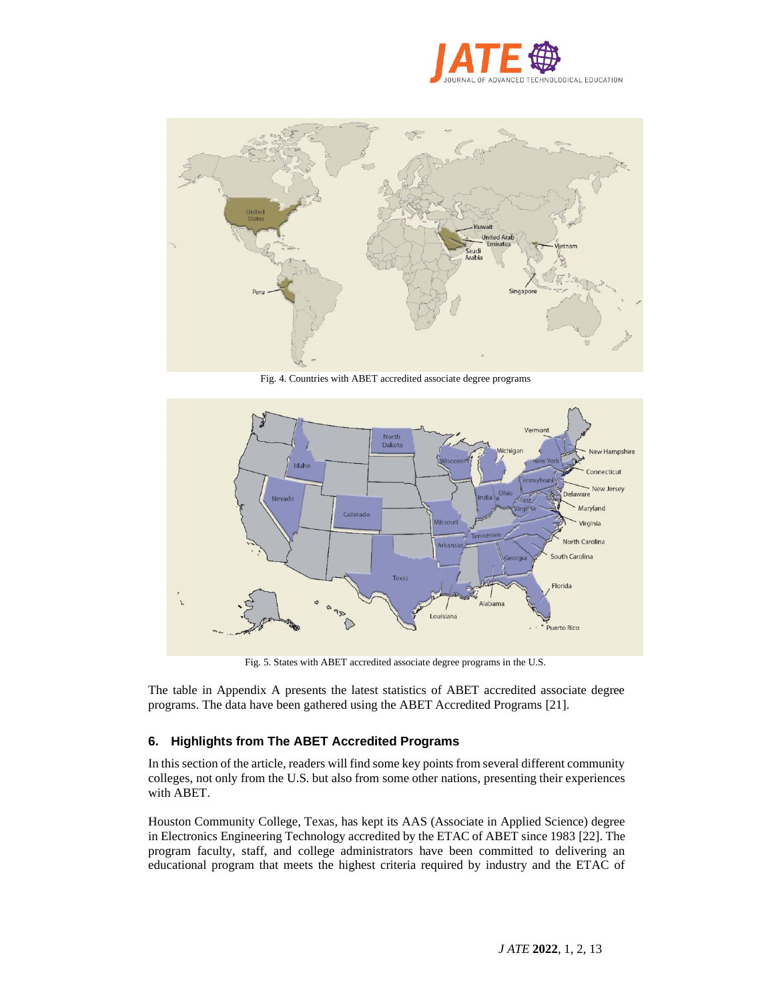



Fig. 4. Countries with ABET accredited associate degree programs



Fig. 5. States with ABET accredited associate degree programs in the U.S.

The table in Appendix A presents the latest statistics of ABET accredited associate degree programs. The data have been gathered using the ABET Accredited Programs [21].

# **6. Highlights from The ABET Accredited Programs**

In this section of the article, readers will find some key points from several different community colleges, not only from the U.S. but also from some other nations, presenting their experiences with ABET.

Houston Community College, Texas, has kept its AAS (Associate in Applied Science) degree in Electronics Engineering Technology accredited by the ETAC of ABET since 1983 [22]. The program faculty, staff, and college administrators have been committed to delivering an educational program that meets the highest criteria required by industry and the ETAC of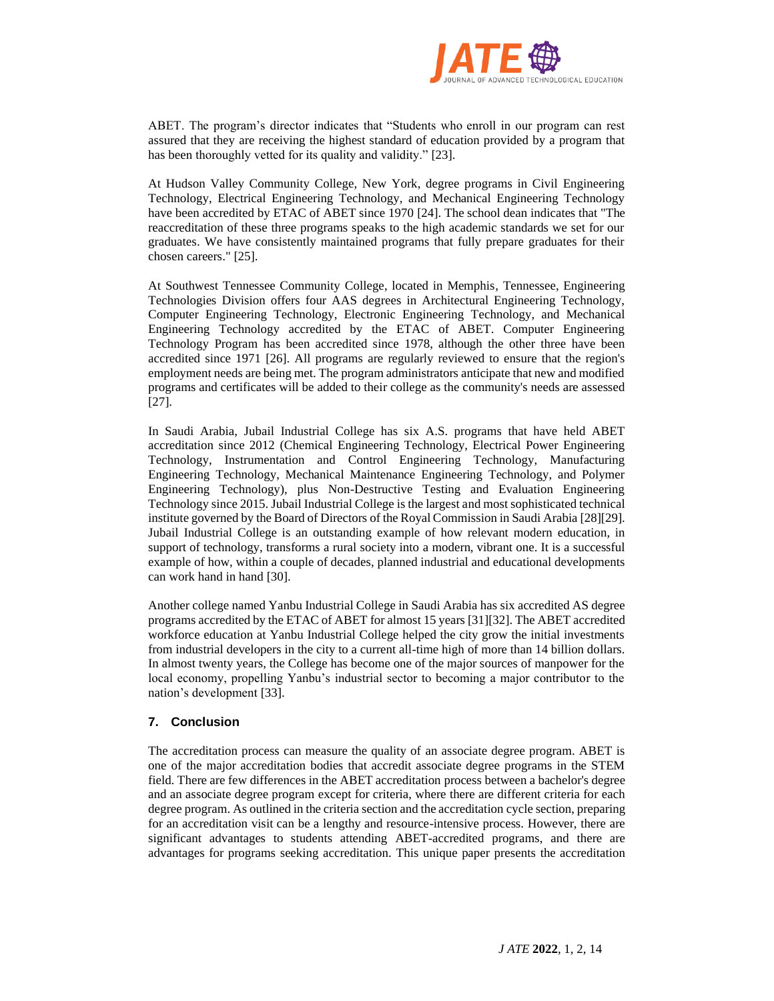

ABET. The program's director indicates that "Students who enroll in our program can rest assured that they are receiving the highest standard of education provided by a program that has been thoroughly vetted for its quality and validity." [23].

At Hudson Valley Community College, New York, degree programs in Civil Engineering Technology, Electrical Engineering Technology, and Mechanical Engineering Technology have been accredited by ETAC of ABET since 1970 [24]. The school dean indicates that "The reaccreditation of these three programs speaks to the high academic standards we set for our graduates. We have consistently maintained programs that fully prepare graduates for their chosen careers." [25].

At Southwest Tennessee Community College, located in Memphis, Tennessee, Engineering Technologies Division offers four AAS degrees in Architectural Engineering Technology, Computer Engineering Technology, Electronic Engineering Technology, and Mechanical Engineering Technology accredited by the ETAC of ABET. Computer Engineering Technology Program has been accredited since 1978, although the other three have been accredited since 1971 [26]. All programs are regularly reviewed to ensure that the region's employment needs are being met. The program administrators anticipate that new and modified programs and certificates will be added to their college as the community's needs are assessed [27].

In Saudi Arabia, Jubail Industrial College has six A.S. programs that have held ABET accreditation since 2012 (Chemical Engineering Technology, Electrical Power Engineering Technology, Instrumentation and Control Engineering Technology, Manufacturing Engineering Technology, Mechanical Maintenance Engineering Technology, and Polymer Engineering Technology), plus Non-Destructive Testing and Evaluation Engineering Technology since 2015. Jubail Industrial College is the largest and most sophisticated technical institute governed by the Board of Directors of the Royal Commission in Saudi Arabia [28][29]. Jubail Industrial College is an outstanding example of how relevant modern education, in support of technology, transforms a rural society into a modern, vibrant one. It is a successful example of how, within a couple of decades, planned industrial and educational developments can work hand in hand [30].

Another college named Yanbu Industrial College in Saudi Arabia has six accredited AS degree programs accredited by the ETAC of ABET for almost 15 years [31][32]. The ABET accredited workforce education at Yanbu Industrial College helped the city grow the initial investments from industrial developers in the city to a current all-time high of more than 14 billion dollars. In almost twenty years, the College has become one of the major sources of manpower for the local economy, propelling Yanbu's industrial sector to becoming a major contributor to the nation's development [33].

# **7. Conclusion**

The accreditation process can measure the quality of an associate degree program. ABET is one of the major accreditation bodies that accredit associate degree programs in the STEM field. There are few differences in the ABET accreditation process between a bachelor's degree and an associate degree program except for criteria, where there are different criteria for each degree program. As outlined in the criteria section and the accreditation cycle section, preparing for an accreditation visit can be a lengthy and resource-intensive process. However, there are significant advantages to students attending ABET-accredited programs, and there are advantages for programs seeking accreditation. This unique paper presents the accreditation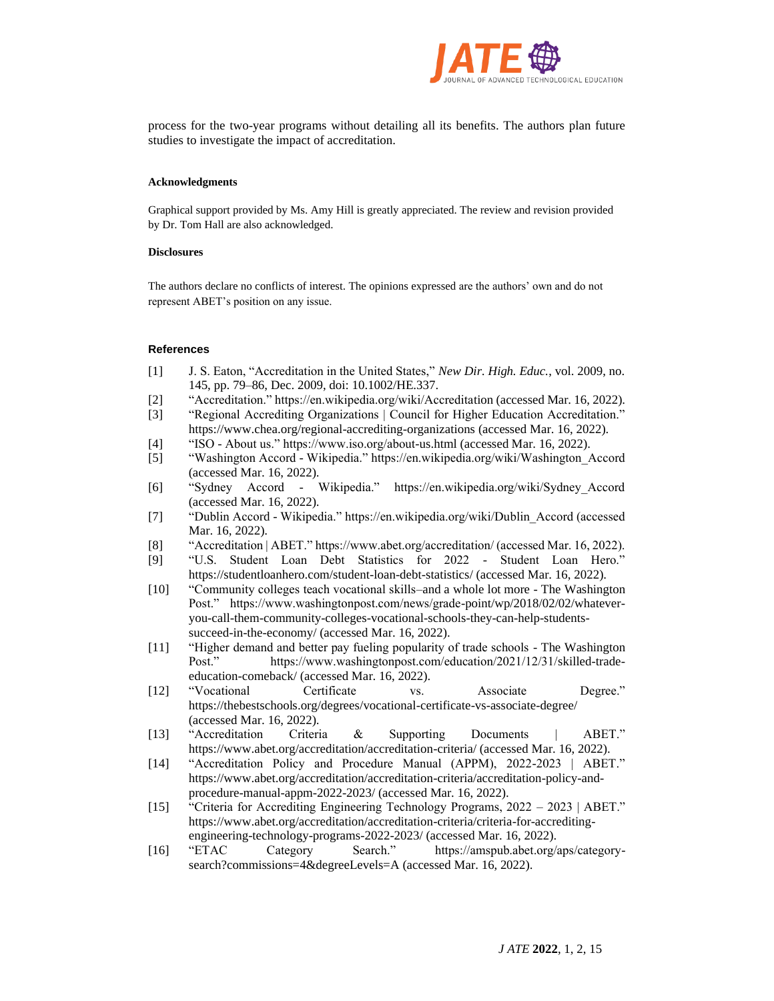

process for the two-year programs without detailing all its benefits. The authors plan future studies to investigate the impact of accreditation.

#### **Acknowledgments**

Graphical support provided by Ms. Amy Hill is greatly appreciated. The review and revision provided by Dr. Tom Hall are also acknowledged.

#### **Disclosures**

The authors declare no conflicts of interest. The opinions expressed are the authors' own and do not represent ABET's position on any issue.

#### **References**

- [1] J. S. Eaton, "Accreditation in the United States," *New Dir. High. Educ.*, vol. 2009, no. 145, pp. 79–86, Dec. 2009, doi: 10.1002/HE.337.
- [2] "Accreditation." https://en.wikipedia.org/wiki/Accreditation (accessed Mar. 16, 2022).
- [3] "Regional Accrediting Organizations | Council for Higher Education Accreditation." https://www.chea.org/regional-accrediting-organizations (accessed Mar. 16, 2022).
- [4] "ISO About us." https://www.iso.org/about-us.html (accessed Mar. 16, 2022).
- [5] "Washington Accord Wikipedia." https://en.wikipedia.org/wiki/Washington\_Accord (accessed Mar. 16, 2022).
- [6] "Sydney Accord Wikipedia." https://en.wikipedia.org/wiki/Sydney\_Accord (accessed Mar. 16, 2022).
- [7] "Dublin Accord Wikipedia." https://en.wikipedia.org/wiki/Dublin\_Accord (accessed Mar. 16, 2022).
- [8] "Accreditation | ABET." https://www.abet.org/accreditation/ (accessed Mar. 16, 2022).
- [9] "U.S. Student Loan Debt Statistics for 2022 Student Loan Hero." https://studentloanhero.com/student-loan-debt-statistics/ (accessed Mar. 16, 2022).
- [10] "Community colleges teach vocational skills–and a whole lot more The Washington Post." https://www.washingtonpost.com/news/grade-point/wp/2018/02/02/whateveryou-call-them-community-colleges-vocational-schools-they-can-help-studentssucceed-in-the-economy/ (accessed Mar. 16, 2022).
- [11] "Higher demand and better pay fueling popularity of trade schools The Washington Post." https://www.washingtonpost.com/education/2021/12/31/skilled-tradeeducation-comeback/ (accessed Mar. 16, 2022).
- [12] "Vocational Certificate vs. Associate Degree." https://thebestschools.org/degrees/vocational-certificate-vs-associate-degree/ (accessed Mar. 16, 2022).
- [13] "Accreditation Criteria & Supporting Documents | ABET." https://www.abet.org/accreditation/accreditation-criteria/ (accessed Mar. 16, 2022).
- [14] "Accreditation Policy and Procedure Manual (APPM), 2022-2023 | ABET." https://www.abet.org/accreditation/accreditation-criteria/accreditation-policy-andprocedure-manual-appm-2022-2023/ (accessed Mar. 16, 2022).
- [15] "Criteria for Accrediting Engineering Technology Programs, 2022 2023 | ABET." https://www.abet.org/accreditation/accreditation-criteria/criteria-for-accreditingengineering-technology-programs-2022-2023/ (accessed Mar. 16, 2022).
- [16] "ETAC Category Search." https://amspub.abet.org/aps/categorysearch?commissions=4&degreeLevels=A (accessed Mar. 16, 2022).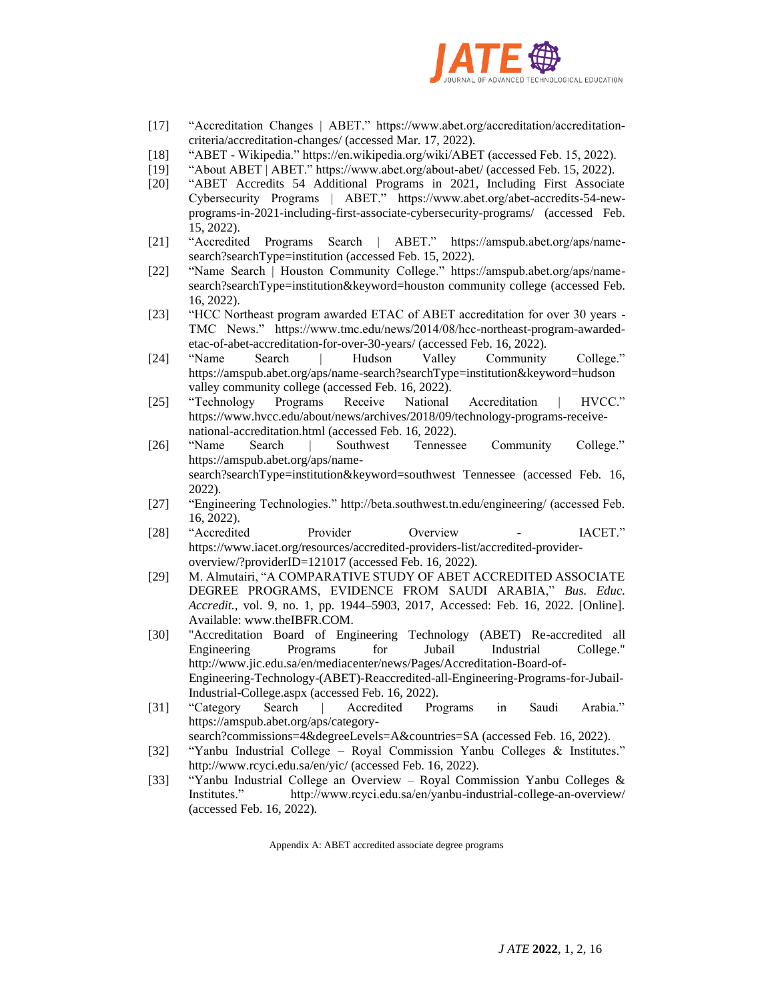

- [17] "Accreditation Changes | ABET." https://www.abet.org/accreditation/accreditationcriteria/accreditation-changes/ (accessed Mar. 17, 2022).
- [18] "ABET Wikipedia." https://en.wikipedia.org/wiki/ABET (accessed Feb. 15, 2022).
- [19] "About ABET | ABET." https://www.abet.org/about-abet/ (accessed Feb. 15, 2022).
- [20] "ABET Accredits 54 Additional Programs in 2021, Including First Associate Cybersecurity Programs | ABET." https://www.abet.org/abet-accredits-54-newprograms-in-2021-including-first-associate-cybersecurity-programs/ (accessed Feb. 15, 2022).
- [21] "Accredited Programs Search | ABET." https://amspub.abet.org/aps/namesearch?searchType=institution (accessed Feb. 15, 2022).
- [22] "Name Search | Houston Community College." https://amspub.abet.org/aps/namesearch?searchType=institution&keyword=houston community college (accessed Feb. 16, 2022).
- [23] "HCC Northeast program awarded ETAC of ABET accreditation for over 30 years TMC News." https://www.tmc.edu/news/2014/08/hcc-northeast-program-awardedetac-of-abet-accreditation-for-over-30-years/ (accessed Feb. 16, 2022).
- [24] "Name Search | Hudson Valley Community College." https://amspub.abet.org/aps/name-search?searchType=institution&keyword=hudson valley community college (accessed Feb. 16, 2022).
- [25] "Technology Programs Receive National Accreditation | HVCC." https://www.hvcc.edu/about/news/archives/2018/09/technology-programs-receivenational-accreditation.html (accessed Feb. 16, 2022).
- [26] "Name Search | Southwest Tennessee Community College." https://amspub.abet.org/aps/namesearch?searchType=institution&keyword=southwest Tennessee (accessed Feb. 16, 2022).
- [27] "Engineering Technologies." http://beta.southwest.tn.edu/engineering/ (accessed Feb. 16, 2022).
- [28] "Accredited Provider Overview IACET." https://www.iacet.org/resources/accredited-providers-list/accredited-provideroverview/?providerID=121017 (accessed Feb. 16, 2022).
- [29] M. Almutairi, "A COMPARATIVE STUDY OF ABET ACCREDITED ASSOCIATE DEGREE PROGRAMS, EVIDENCE FROM SAUDI ARABIA," *Bus. Educ. Accredit.*, vol. 9, no. 1, pp. 1944–5903, 2017, Accessed: Feb. 16, 2022. [Online]. Available: www.theIBFR.COM.
- [30] "Accreditation Board of Engineering Technology (ABET) Re-accredited all Engineering Programs for Jubail Industrial College." http://www.jic.edu.sa/en/mediacenter/news/Pages/Accreditation-Board-of-Engineering-Technology-(ABET)-Reaccredited-all-Engineering-Programs-for-Jubail-Industrial-College.aspx (accessed Feb. 16, 2022).
- [31] "Category Search | Accredited Programs in Saudi Arabia." https://amspub.abet.org/aps/category-

search?commissions=4&degreeLevels=A&countries=SA (accessed Feb. 16, 2022).

- [32] "Yanbu Industrial College Royal Commission Yanbu Colleges & Institutes." http://www.rcyci.edu.sa/en/yic/ (accessed Feb. 16, 2022).
- [33] "Yanbu Industrial College an Overview Royal Commission Yanbu Colleges & Institutes." http://www.rcyci.edu.sa/en/yanbu-industrial-college-an-overview/ (accessed Feb. 16, 2022).

Appendix A: ABET accredited associate degree programs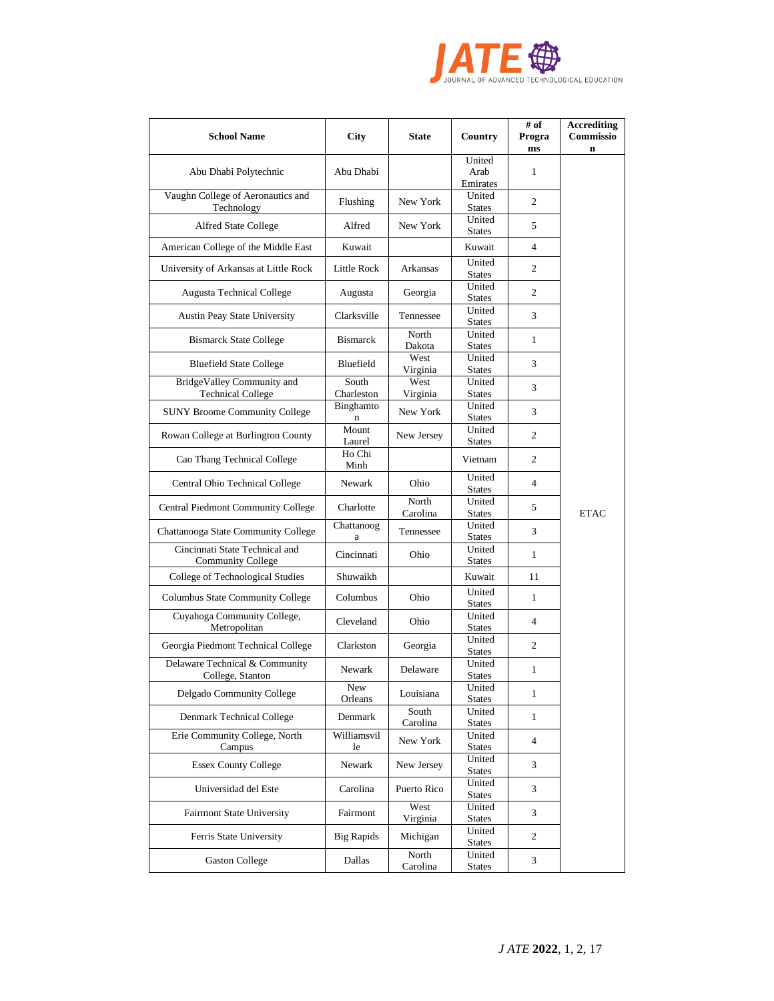

| <b>School Name</b>                                         | City                     | <b>State</b>      | Country                    | # of<br>Progra<br>ms | <b>Accrediting</b><br>Commissio<br>$\mathbf n$ |
|------------------------------------------------------------|--------------------------|-------------------|----------------------------|----------------------|------------------------------------------------|
| Abu Dhabi Polytechnic                                      | Abu Dhabi                |                   | United<br>Arab<br>Emirates | 1                    |                                                |
| Vaughn College of Aeronautics and<br>Technology            | Flushing                 | New York          | United<br><b>States</b>    | 2                    |                                                |
| <b>Alfred State College</b>                                | Alfred                   | New York          | United<br><b>States</b>    | 5                    |                                                |
| American College of the Middle East                        | Kuwait                   |                   | Kuwait                     | $\overline{4}$       |                                                |
| University of Arkansas at Little Rock                      | Little Rock              | Arkansas          | United<br><b>States</b>    | $\overline{c}$       |                                                |
| <b>Augusta Technical College</b>                           | Augusta                  | Georgia           | United<br><b>States</b>    | $\overline{c}$       |                                                |
| Austin Peay State University                               | Clarksville              | Tennessee         | United<br><b>States</b>    | 3                    |                                                |
| <b>Bismarck State College</b>                              | <b>Bismarck</b>          | North<br>Dakota   | United<br><b>States</b>    | $\mathbf{1}$         |                                                |
| <b>Bluefield State College</b>                             | Bluefield                | West<br>Virginia  | United<br><b>States</b>    | 3                    |                                                |
| BridgeValley Community and<br><b>Technical College</b>     | South<br>Charleston      | West<br>Virginia  | United<br><b>States</b>    | 3                    |                                                |
| <b>SUNY Broome Community College</b>                       | Binghamto<br>$\mathbf n$ | New York          | United<br><b>States</b>    | 3                    |                                                |
| Rowan College at Burlington County                         | Mount<br>Laurel          | New Jersey        | United<br><b>States</b>    | $\overline{c}$       |                                                |
| Cao Thang Technical College                                | Ho Chi<br>Minh           |                   | Vietnam                    | 2                    |                                                |
| Central Ohio Technical College                             | Newark                   | Ohio              | United<br><b>States</b>    | $\overline{4}$       |                                                |
| <b>Central Piedmont Community College</b>                  | Charlotte                | North<br>Carolina | United<br><b>States</b>    | 5                    | <b>ETAC</b>                                    |
| Chattanooga State Community College                        | Chattanoog<br>a          | Tennessee         | United<br><b>States</b>    | 3                    |                                                |
| Cincinnati State Technical and<br><b>Community College</b> | Cincinnati               | Ohio              | United<br><b>States</b>    | $\mathbf{1}$         |                                                |
| College of Technological Studies                           | Shuwaikh                 |                   | Kuwait                     | 11                   |                                                |
| Columbus State Community College                           | Columbus                 | Ohio              | United<br><b>States</b>    | $\mathbf{1}$         |                                                |
| Cuyahoga Community College,<br>Metropolitan                | Cleveland                | Ohio              | United<br><b>States</b>    | $\overline{4}$       |                                                |
| Georgia Piedmont Technical College                         | Clarkston                | Georgia           | United<br><b>States</b>    | $\overline{c}$       |                                                |
| Delaware Technical & Community<br>College, Stanton         | Newark                   | Delaware          | United<br><b>States</b>    | 1                    |                                                |
| Delgado Community College                                  | New<br>Orleans           | Louisiana         | United<br><b>States</b>    | $\mathbf{1}$         |                                                |
| Denmark Technical College                                  | Denmark                  | South<br>Carolina | United<br><b>States</b>    | 1                    |                                                |
| Erie Community College, North<br>Campus                    | Williamsvil<br>le        | New York          | United<br><b>States</b>    | $\overline{4}$       |                                                |
| <b>Essex County College</b>                                | Newark                   | New Jersey        | United<br><b>States</b>    | 3                    |                                                |
| Universidad del Este                                       | Carolina                 | Puerto Rico       | United<br><b>States</b>    | 3                    |                                                |
| Fairmont State University                                  | Fairmont                 | West<br>Virginia  | United<br><b>States</b>    | 3                    |                                                |
| Ferris State University                                    | <b>Big Rapids</b>        | Michigan          | United<br><b>States</b>    | $\overline{c}$       |                                                |
| <b>Gaston College</b>                                      | Dallas                   | North<br>Carolina | United<br><b>States</b>    | 3                    |                                                |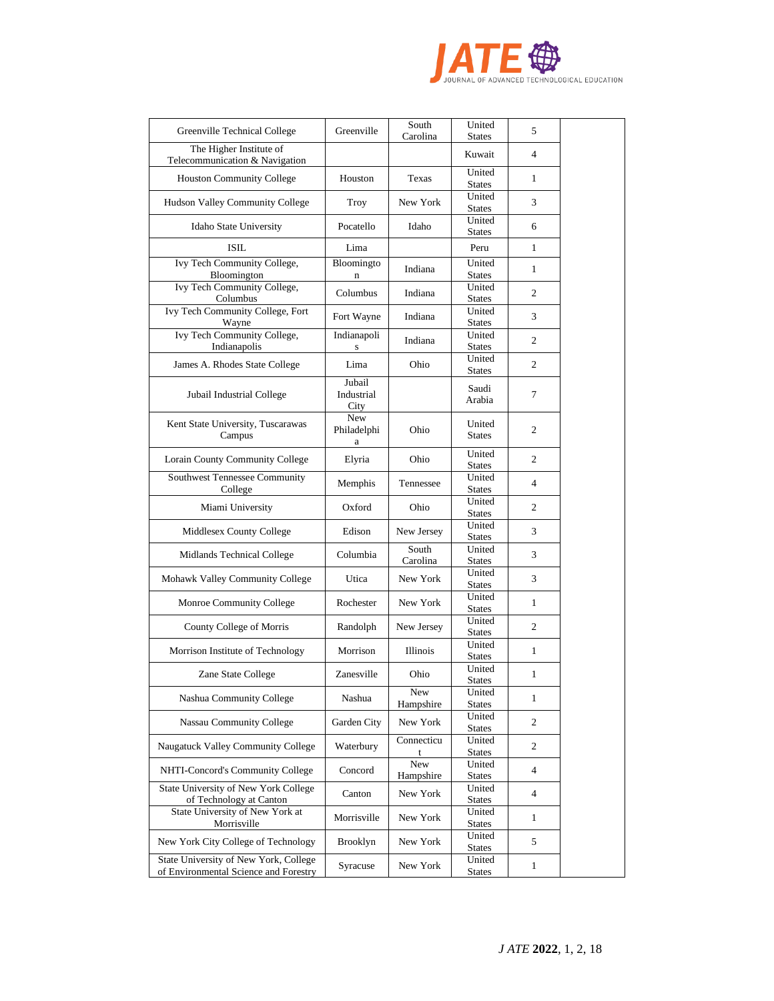

| Greenville Technical College                                                   | Greenville                     | South<br>Carolina | United<br><b>States</b> | 5              |  |
|--------------------------------------------------------------------------------|--------------------------------|-------------------|-------------------------|----------------|--|
| The Higher Institute of                                                        |                                |                   | Kuwait                  | 4              |  |
| Telecommunication & Navigation                                                 | Houston                        | Texas             | United                  | 1              |  |
| <b>Houston Community College</b>                                               |                                |                   | <b>States</b><br>United |                |  |
| Hudson Valley Community College                                                | Troy                           | New York          | <b>States</b>           | 3              |  |
| Idaho State University                                                         | Pocatello                      | Idaho             | United<br><b>States</b> | 6              |  |
| <b>ISIL</b>                                                                    | Lima                           |                   | Peru                    | $\mathbf{1}$   |  |
| Ivy Tech Community College,<br>Bloomington                                     | Bloomingto<br>$\mathbf n$      | Indiana           | United<br><b>States</b> | 1              |  |
| Ivy Tech Community College,<br>Columbus                                        | Columbus                       | Indiana           | United<br><b>States</b> | 2              |  |
| Ivy Tech Community College, Fort<br>Wayne                                      | Fort Wayne                     | Indiana           | United<br><b>States</b> | 3              |  |
| <b>Ivy Tech Community College,</b><br>Indianapolis                             | Indianapoli<br>${\bf S}$       | Indiana           | United<br><b>States</b> | 2              |  |
| James A. Rhodes State College                                                  | Lima                           | Ohio              | United<br><b>States</b> | $\overline{c}$ |  |
| Jubail Industrial College                                                      | Jubail<br>Industrial<br>City   |                   | Saudi<br>Arabia         | 7              |  |
| Kent State University, Tuscarawas<br>Campus                                    | <b>New</b><br>Philadelphi<br>a | Ohio              | United<br><b>States</b> | 2              |  |
| Lorain County Community College                                                | Elyria                         | Ohio              | United<br><b>States</b> | 2              |  |
| Southwest Tennessee Community<br>College                                       | Memphis                        | Tennessee         | United<br><b>States</b> | $\overline{4}$ |  |
| Miami University                                                               | Oxford                         | Ohio              | United<br><b>States</b> | 2              |  |
| Middlesex County College                                                       | Edison                         | New Jersey        | United<br><b>States</b> | 3              |  |
| Midlands Technical College                                                     | Columbia                       | South<br>Carolina | United<br><b>States</b> | 3              |  |
| Mohawk Valley Community College                                                | Utica                          | New York          | United<br><b>States</b> | 3              |  |
| Monroe Community College                                                       | Rochester                      | New York          | United<br><b>States</b> | 1              |  |
| County College of Morris                                                       | Randolph                       | New Jersey        | United<br><b>States</b> | 2              |  |
| Morrison Institute of Technology                                               | Morrison                       | <b>Illinois</b>   | United<br><b>States</b> | $\mathbf{1}$   |  |
| Zane State College                                                             | Zanesville                     | Ohio              | United<br>States        | 1              |  |
| Nashua Community College                                                       | Nashua                         | New<br>Hampshire  | United<br><b>States</b> | $\mathbf{1}$   |  |
| <b>Nassau Community College</b>                                                | Garden City                    | New York          | United<br><b>States</b> | $\overline{c}$ |  |
| Naugatuck Valley Community College                                             | Waterbury                      | Connecticu        | United<br><b>States</b> | 2              |  |
| NHTI-Concord's Community College                                               | Concord                        | New<br>Hampshire  | United<br><b>States</b> | 4              |  |
| State University of New York College<br>of Technology at Canton                | Canton                         | New York          | United<br><b>States</b> | $\overline{4}$ |  |
| State University of New York at<br>Morrisville                                 | Morrisville                    | New York          | United<br><b>States</b> | 1              |  |
| New York City College of Technology                                            | <b>Brooklyn</b>                | New York          | United<br><b>States</b> | 5              |  |
| State University of New York, College<br>of Environmental Science and Forestry | Syracuse                       | New York          | United<br><b>States</b> | $\mathbf{1}$   |  |